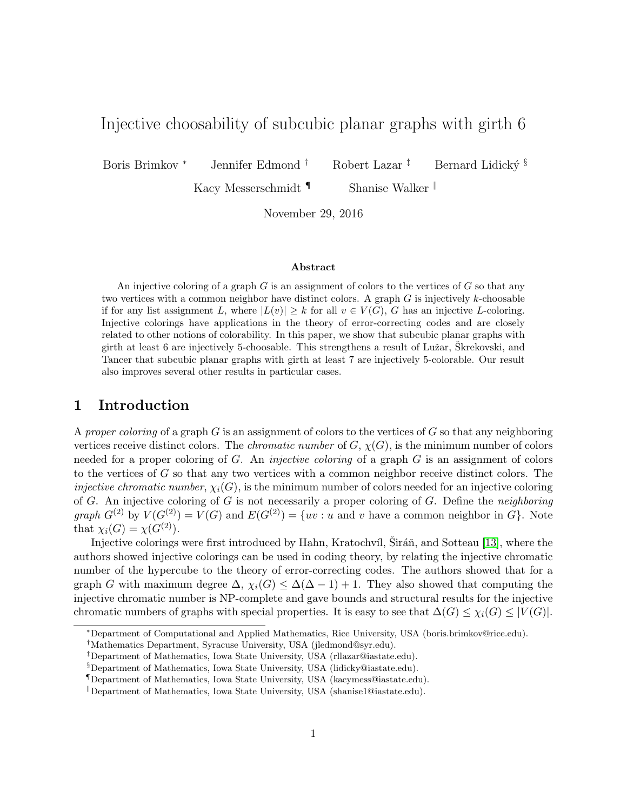# Injective choosability of subcubic planar graphs with girth 6

Boris Brimkov \* Jennifer Edmond † Robert Lazar ‡ Bernard Lidický §

Kacy Messerschmidt <sup>¶</sup> Shanise Walker <sup>||</sup>

November 29, 2016

#### Abstract

An injective coloring of a graph  $G$  is an assignment of colors to the vertices of  $G$  so that any two vertices with a common neighbor have distinct colors. A graph  $G$  is injectively  $k$ -choosable if for any list assignment L, where  $|L(v)| \geq k$  for all  $v \in V(G)$ , G has an injective L-coloring. Injective colorings have applications in the theory of error-correcting codes and are closely related to other notions of colorability. In this paper, we show that subcubic planar graphs with girth at least 6 are injectively 5-choosable. This strengthens a result of Lužar, Skrekovski, and Tancer that subcubic planar graphs with girth at least 7 are injectively 5-colorable. Our result also improves several other results in particular cases.

### 1 Introduction

A proper coloring of a graph  $G$  is an assignment of colors to the vertices of  $G$  so that any neighboring vertices receive distinct colors. The *chromatic number* of  $G, \chi(G)$ , is the minimum number of colors needed for a proper coloring of G. An *injective coloring* of a graph  $G$  is an assignment of colors to the vertices of G so that any two vertices with a common neighbor receive distinct colors. The *injective chromatic number,*  $\chi_i(G)$ , is the minimum number of colors needed for an injective coloring of  $G$ . An injective coloring of  $G$  is not necessarily a proper coloring of  $G$ . Define the *neighboring* graph  $G^{(2)}$  by  $V(G^{(2)}) = V(G)$  and  $E(G^{(2)}) = \{uv : u \text{ and } v \text{ have a common neighbor in } G\}$ . Note that  $\chi_i(G) = \chi(G^{(2)})$ .

Injective colorings were first introduced by Hahn, Kratochvíl, Siráň, and Sotteau [\[13\]](#page-17-0), where the authors showed injective colorings can be used in coding theory, by relating the injective chromatic number of the hypercube to the theory of error-correcting codes. The authors showed that for a graph G with maximum degree  $\Delta$ ,  $\chi_i(G) \leq \Delta(\Delta - 1) + 1$ . They also showed that computing the injective chromatic number is NP-complete and gave bounds and structural results for the injective chromatic numbers of graphs with special properties. It is easy to see that  $\Delta(G) \leq \chi_i(G) \leq |V(G)|$ .

<sup>∗</sup>Department of Computational and Applied Mathematics, Rice University, USA (boris.brimkov@rice.edu).

<sup>†</sup>Mathematics Department, Syracuse University, USA (jledmond@syr.edu).

<sup>‡</sup>Department of Mathematics, Iowa State University, USA (rllazar@iastate.edu).

<sup>§</sup>Department of Mathematics, Iowa State University, USA (lidicky@iastate.edu).

<sup>¶</sup>Department of Mathematics, Iowa State University, USA (kacymess@iastate.edu).

<sup>&</sup>lt;sup>ll</sup> Department of Mathematics, Iowa State University, USA (shanise1@iastate.edu).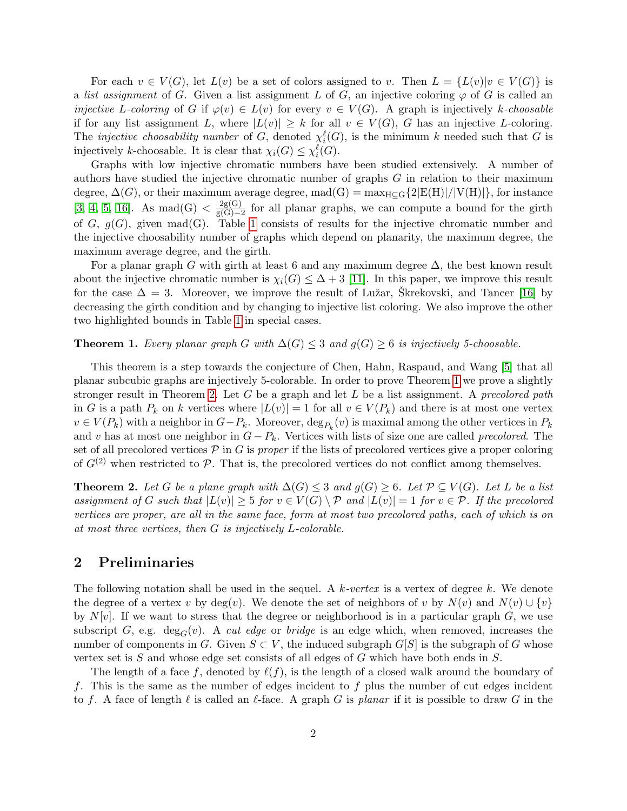For each  $v \in V(G)$ , let  $L(v)$  be a set of colors assigned to v. Then  $L = \{L(v)|v \in V(G)\}\$ is a list assignment of G. Given a list assignment L of G, an injective coloring  $\varphi$  of G is called an injective L-coloring of G if  $\varphi(v) \in L(v)$  for every  $v \in V(G)$ . A graph is injectively k-choosable if for any list assignment L, where  $|L(v)| \geq k$  for all  $v \in V(G)$ , G has an injective L-coloring. The *injective choosability number* of G, denoted  $\chi_i^{\ell}(G)$ , is the minimum k needed such that G is injectively k-choosable. It is clear that  $\chi_i(G) \leq \chi_i^{\ell}(G)$ .

Graphs with low injective chromatic numbers have been studied extensively. A number of authors have studied the injective chromatic number of graphs G in relation to their maximum degree,  $\Delta(G)$ , or their maximum average degree, mad $(G) = \max_{H \subset G} \{2|E(H)|/|V(H)|\}$ , for instance  $[3, 4, 5, 16]$  $[3, 4, 5, 16]$  $[3, 4, 5, 16]$  $[3, 4, 5, 16]$ . As mad $(G) < \frac{2g(G)}{g(G)-1}$  $\frac{2g(G)}{g(G)-2}$  for all planar graphs, we can compute a bound for the girth of G,  $g(G)$ , given mad(G). Table [1](#page-2-0) consists of results for the injective chromatic number and the injective choosability number of graphs which depend on planarity, the maximum degree, the maximum average degree, and the girth.

For a planar graph G with girth at least 6 and any maximum degree  $\Delta$ , the best known result about the injective chromatic number is  $\chi_i(G) \leq \Delta + 3$  [\[11\]](#page-17-5). In this paper, we improve this result for the case  $\Delta = 3$ . Moreover, we improve the result of Lužar, Skrekovski, and Tancer [\[16\]](#page-17-4) by decreasing the girth condition and by changing to injective list coloring. We also improve the other two highlighted bounds in Table [1](#page-2-0) in special cases.

#### <span id="page-1-0"></span>**Theorem 1.** Every planar graph G with  $\Delta(G) \leq 3$  and  $g(G) \geq 6$  is injectively 5-choosable.

This theorem is a step towards the conjecture of Chen, Hahn, Raspaud, and Wang [\[5\]](#page-17-3) that all planar subcubic graphs are injectively 5-colorable. In order to prove Theorem [1](#page-1-0) we prove a slightly stronger result in Theorem [2.](#page-1-1) Let G be a graph and let L be a list assignment. A precolored path in G is a path  $P_k$  on k vertices where  $|L(v)| = 1$  for all  $v \in V(P_k)$  and there is at most one vertex  $v \in V(P_k)$  with a neighbor in  $G-P_k$ . Moreover,  $\deg_{P_k}(v)$  is maximal among the other vertices in  $P_k$ and v has at most one neighbor in  $G - P_k$ . Vertices with lists of size one are called precolored. The set of all precolored vertices  $P$  in G is proper if the lists of precolored vertices give a proper coloring of  $G^{(2)}$  when restricted to P. That is, the precolored vertices do not conflict among themselves.

<span id="page-1-1"></span>**Theorem 2.** Let G be a plane graph with  $\Delta(G) \leq 3$  and  $g(G) \geq 6$ . Let  $\mathcal{P} \subseteq V(G)$ . Let L be a list assignment of G such that  $|L(v)| \geq 5$  for  $v \in V(G) \setminus \mathcal{P}$  and  $|L(v)| = 1$  for  $v \in \mathcal{P}$ . If the precolored vertices are proper, are all in the same face, form at most two precolored paths, each of which is on at most three vertices, then G is injectively L-colorable.

## 2 Preliminaries

The following notation shall be used in the sequel. A k-vertex is a vertex of degree k. We denote the degree of a vertex v by deg(v). We denote the set of neighbors of v by  $N(v)$  and  $N(v) \cup \{v\}$ by  $N[v]$ . If we want to stress that the degree or neighborhood is in a particular graph  $G$ , we use subscript G, e.g.  $deg_G(v)$ . A *cut edge* or *bridge* is an edge which, when removed, increases the number of components in G. Given  $S \subset V$ , the induced subgraph  $G[S]$  is the subgraph of G whose vertex set is  $S$  and whose edge set consists of all edges of  $G$  which have both ends in  $S$ .

The length of a face f, denoted by  $\ell(f)$ , is the length of a closed walk around the boundary of f. This is the same as the number of edges incident to f plus the number of cut edges incident to f. A face of length  $\ell$  is called an  $\ell$ -face. A graph G is planar if it is possible to draw G in the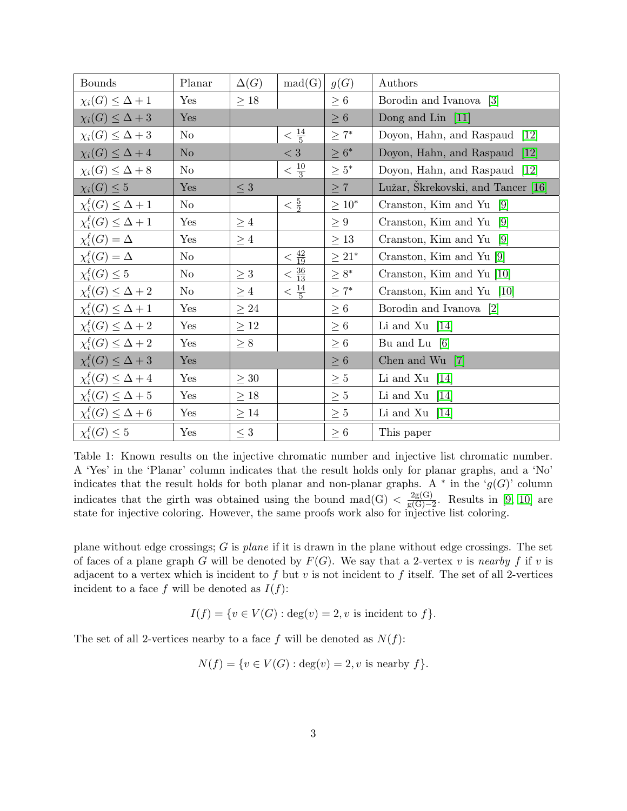| <b>Bounds</b>                      | Planar         | $\Delta(G)$ | mad(G)                 | g(G)        | Authors                                       |  |  |
|------------------------------------|----------------|-------------|------------------------|-------------|-----------------------------------------------|--|--|
| $\chi_i(G) \leq \Delta + 1$        | Yes            | $\geq 18$   |                        | $\geq 6$    | Borodin and Ivanova<br>$\lceil 3 \rceil$      |  |  |
| $\chi_i(G) \leq \Delta + 3$        | Yes            |             |                        | $\geq 6$    | Dong and Lin<br>$\vert 11 \vert$              |  |  |
| $\chi_i(G) \leq \Delta + 3$        | N <sub>o</sub> |             | $\frac{14}{5}$         | $\geq 7^*$  | Doyon, Hahn, and Raspaud<br>$\left[12\right]$ |  |  |
| $\chi_i(G) \leq \Delta + 4$        | No             |             | $< 3\,$                | $\geq 6^*$  | Doyon, Hahn, and Raspaud<br> 12               |  |  |
| $\chi_i(G) \leq \Delta + 8$        | N <sub>o</sub> |             | $\langle \frac{10}{3}$ | $\geq 5^*$  | $\left[12\right]$<br>Doyon, Hahn, and Raspaud |  |  |
| $\chi_i(G) \leq 5$                 | Yes            | $\leq 3$    |                        | $\geq 7$    | Lužar, Škrekovski, and Tancer [16]            |  |  |
| $\chi_i^{\ell}(G) \leq \Delta + 1$ | N <sub>o</sub> |             | $\frac{5}{2}$          | $\geq 10^*$ | Cranston, Kim and Yu $[9]$                    |  |  |
| $\chi_i^{\ell}(G) \leq \Delta + 1$ | Yes            | $\geq 4$    |                        | $\geq 9$    | Cranston, Kim and Yu<br> 9                    |  |  |
| $\chi_i^{\ell}(G) = \Delta$        | Yes            | $\geq 4$    |                        | $\geq 13$   | Cranston, Kim and Yu $[9]$                    |  |  |
| $\chi_i^{\ell}(G) = \Delta$        | $\rm No$       |             | $< \frac{42}{19}$      | $\geq 21^*$ | Cranston, Kim and Yu [9]                      |  |  |
| $\chi_i^{\ell}(G) \leq 5$          | N <sub>o</sub> | $\geq 3$    | $< \frac{36}{13}$      | $\geq 8^*$  | Cranston, Kim and Yu [10]                     |  |  |
| $\chi_i^{\ell}(G) \leq \Delta + 2$ | N <sub>o</sub> | $\geq 4$    | $< \frac{14}{5}$       | $\geq 7^*$  | Cranston, Kim and Yu [10]                     |  |  |
| $\chi_i^{\ell}(G) \leq \Delta + 1$ | Yes            | $\geq 24$   |                        | $\geq 6$    | Borodin and Ivanova<br>$\lceil 2 \rceil$      |  |  |
| $\chi_i^{\ell}(G) \leq \Delta + 2$ | Yes            | $\geq 12$   |                        | $\geq 6$    | Li and Xu $[14]$                              |  |  |
| $\chi_i^{\ell}(G) \leq \Delta + 2$ | Yes            | $\geq 8$    |                        | $\geq 6$    | Bu and Lu $[6]$                               |  |  |
| $\chi_i^{\ell}(G) \leq \Delta + 3$ | Yes            |             |                        | $\geq 6$    | Chen and Wu<br> 7                             |  |  |
| $\chi_i^{\ell}(G) \leq \Delta + 4$ | Yes            | $\geq 30$   |                        | $\geq 5$    | Li and Xu $[14]$                              |  |  |
| $\chi_i^{\ell}(G) \leq \Delta + 5$ | Yes            | $\geq 18$   |                        | $\geq 5$    | Li and Xu $[14]$                              |  |  |
| $\chi_i^{\ell}(G) \leq \Delta + 6$ | Yes            | $\geq 14$   |                        | $\geq 5$    | Li and Xu $[14]$                              |  |  |
| $\chi_i^{\ell}(G) \leq 5$          | Yes            | $\leq 3$    |                        | $\geq 6$    | This paper                                    |  |  |

<span id="page-2-0"></span>Table 1: Known results on the injective chromatic number and injective list chromatic number. A 'Yes' in the 'Planar' column indicates that the result holds only for planar graphs, and a 'No' indicates that the result holds for both planar and non-planar graphs. A  $*$  in the ' $g(G)$ ' column indicates that the girth was obtained using the bound mad(G)  $\langle \frac{2g(G)}{g(G)-1} \rangle$  $\frac{2g(G)}{g(G)-2}$ . Results in [\[9,](#page-17-7) [10\]](#page-17-8) are state for injective coloring. However, the same proofs work also for injective list coloring.

plane without edge crossings;  $G$  is plane if it is drawn in the plane without edge crossings. The set of faces of a plane graph G will be denoted by  $F(G)$ . We say that a 2-vertex v is nearby f if v is adjacent to a vertex which is incident to f but v is not incident to f itself. The set of all 2-vertices incident to a face f will be denoted as  $I(f)$ :

$$
I(f) = \{ v \in V(G) : \text{deg}(v) = 2, v \text{ is incident to } f \}.
$$

The set of all 2-vertices nearby to a face f will be denoted as  $N(f)$ :

$$
N(f) = \{v \in V(G) : \text{deg}(v) = 2, v \text{ is nearby } f\}.
$$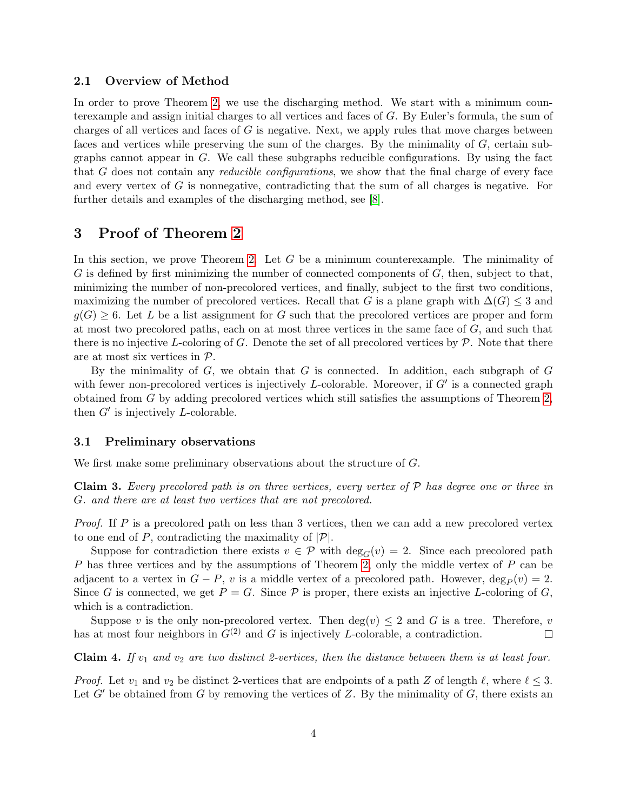#### 2.1 Overview of Method

In order to prove Theorem [2,](#page-1-1) we use the discharging method. We start with a minimum counterexample and assign initial charges to all vertices and faces of G. By Euler's formula, the sum of charges of all vertices and faces of  $G$  is negative. Next, we apply rules that move charges between faces and vertices while preserving the sum of the charges. By the minimality of G, certain subgraphs cannot appear in G. We call these subgraphs reducible configurations. By using the fact that G does not contain any *reducible configurations*, we show that the final charge of every face and every vertex of G is nonnegative, contradicting that the sum of all charges is negative. For further details and examples of the discharging method, see [\[8\]](#page-17-13).

# 3 Proof of Theorem [2](#page-1-1)

In this section, we prove Theorem [2.](#page-1-1) Let  $G$  be a minimum counterexample. The minimality of  $G$  is defined by first minimizing the number of connected components of  $G$ , then, subject to that, minimizing the number of non-precolored vertices, and finally, subject to the first two conditions, maximizing the number of precolored vertices. Recall that G is a plane graph with  $\Delta(G) \leq 3$  and  $g(G) \geq 6$ . Let L be a list assignment for G such that the precolored vertices are proper and form at most two precolored paths, each on at most three vertices in the same face of  $G$ , and such that there is no injective L-coloring of G. Denote the set of all precolored vertices by  $P$ . Note that there are at most six vertices in P.

By the minimality of  $G$ , we obtain that  $G$  is connected. In addition, each subgraph of  $G$ with fewer non-precolored vertices is injectively  $L$ -colorable. Moreover, if  $G'$  is a connected graph obtained from G by adding precolored vertices which still satisfies the assumptions of Theorem [2,](#page-1-1) then  $G'$  is injectively  $L$ -colorable.

#### 3.1 Preliminary observations

We first make some preliminary observations about the structure of G.

<span id="page-3-1"></span>Claim 3. Every precolored path is on three vertices, every vertex of  $P$  has degree one or three in G. and there are at least two vertices that are not precolored.

Proof. If P is a precolored path on less than 3 vertices, then we can add a new precolored vertex to one end of P, contradicting the maximality of  $|\mathcal{P}|$ .

Suppose for contradiction there exists  $v \in \mathcal{P}$  with  $\deg_G(v) = 2$ . Since each precolored path P has three vertices and by the assumptions of Theorem [2,](#page-1-1) only the middle vertex of P can be adjacent to a vertex in  $G - P$ , v is a middle vertex of a precolored path. However,  $\deg_P (v) = 2$ . Since G is connected, we get  $P = G$ . Since P is proper, there exists an injective L-coloring of G, which is a contradiction.

Suppose v is the only non-precolored vertex. Then  $\deg(v) \leq 2$  and G is a tree. Therefore, v has at most four neighbors in  $G^{(2)}$  and G is injectively L-colorable, a contradiction.  $\Box$ 

<span id="page-3-0"></span>Claim 4. If  $v_1$  and  $v_2$  are two distinct 2-vertices, then the distance between them is at least four.

*Proof.* Let  $v_1$  and  $v_2$  be distinct 2-vertices that are endpoints of a path Z of length  $\ell$ , where  $\ell \leq 3$ . Let  $G'$  be obtained from G by removing the vertices of Z. By the minimality of G, there exists an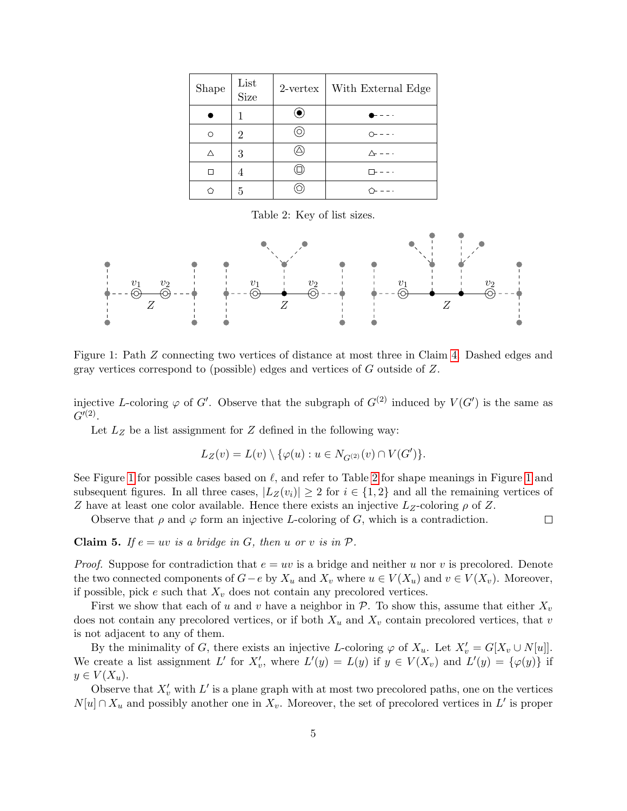| Shape | List<br><b>Size</b> | $2$ -vertex | With External Edge |
|-------|---------------------|-------------|--------------------|
|       |                     |             |                    |
| ∩     | 2                   | ∩           |                    |
| Λ     | 3                   |             |                    |
|       | 4                   |             |                    |
|       | 5                   |             |                    |

<span id="page-4-1"></span>Table 2: Key of list sizes.



<span id="page-4-0"></span>Figure 1: Path Z connecting two vertices of distance at most three in Claim [4.](#page-3-0) Dashed edges and gray vertices correspond to (possible) edges and vertices of G outside of Z.

injective L-coloring  $\varphi$  of G'. Observe that the subgraph of  $G^{(2)}$  induced by  $V(G')$  is the same as  $G'^{(2)}$ .

Let  $L_Z$  be a list assignment for  $Z$  defined in the following way:

$$
L_Z(v)=L(v)\setminus\{\varphi(u):u\in N_{G^{(2)}}(v)\cap V(G')\}.
$$

See Figure [1](#page-4-0) for possible cases based on  $\ell$ , and refer to Table [2](#page-4-1) for shape meanings in Figure 1 and subsequent figures. In all three cases,  $|L_Z(v_i)| \geq 2$  for  $i \in \{1,2\}$  and all the remaining vertices of Z have at least one color available. Hence there exists an injective  $L_z$ -coloring  $\rho$  of Z.

Observe that  $\rho$  and  $\varphi$  form an injective L-coloring of G, which is a contradiction.  $\Box$ 

<span id="page-4-2"></span>**Claim 5.** If  $e = uv$  is a bridge in G, then u or v is in P.

*Proof.* Suppose for contradiction that  $e = uv$  is a bridge and neither u nor v is precolored. Denote the two connected components of  $G-e$  by  $X_u$  and  $X_v$  where  $u \in V(X_u)$  and  $v \in V(X_v)$ . Moreover, if possible, pick e such that  $X_v$  does not contain any precolored vertices.

First we show that each of u and v have a neighbor in  $\mathcal{P}$ . To show this, assume that either  $X_v$ does not contain any precolored vertices, or if both  $X_u$  and  $X_v$  contain precolored vertices, that v is not adjacent to any of them.

By the minimality of G, there exists an injective L-coloring  $\varphi$  of  $X_u$ . Let  $X'_v = G[X_v \cup N[u]]$ . We create a list assignment L' for  $X'_v$ , where  $L'(y) = L(y)$  if  $y \in V(X_v)$  and  $L'(y) = {\varphi(y)}$  if  $y \in V(X_u)$ .

Observe that  $X'_v$  with  $L'$  is a plane graph with at most two precolored paths, one on the vertices  $N[u] \cap X_u$  and possibly another one in  $X_v$ . Moreover, the set of precolored vertices in L' is proper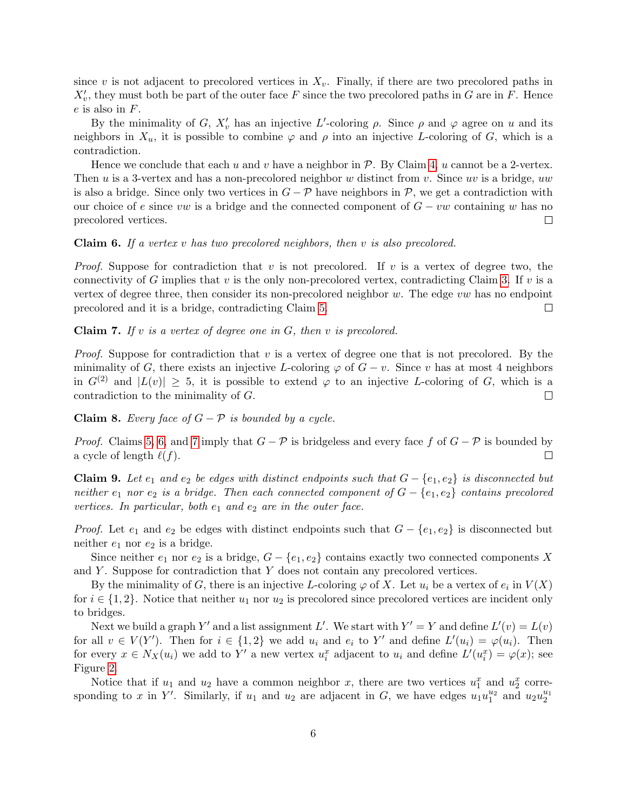since v is not adjacent to precolored vertices in  $X_v$ . Finally, if there are two precolored paths in  $X'_v$ , they must both be part of the outer face F since the two precolored paths in G are in F. Hence  $e$  is also in  $F$ .

By the minimality of G,  $X'_v$  has an injective L'-coloring  $\rho$ . Since  $\rho$  and  $\varphi$  agree on u and its neighbors in  $X_u$ , it is possible to combine  $\varphi$  and  $\rho$  into an injective L-coloring of G, which is a contradiction.

Hence we conclude that each u and v have a neighbor in  $P$ . By Claim [4,](#page-3-0) u cannot be a 2-vertex. Then u is a 3-vertex and has a non-precolored neighbor w distinct from v. Since uv is a bridge, uw is also a bridge. Since only two vertices in  $G - \mathcal{P}$  have neighbors in  $\mathcal{P}$ , we get a contradiction with our choice of e since vw is a bridge and the connected component of  $G - vw$  containing w has no precolored vertices.  $\Box$ 

#### <span id="page-5-0"></span>**Claim 6.** If a vertex v has two precolored neighbors, then v is also precolored.

*Proof.* Suppose for contradiction that v is not precolored. If v is a vertex of degree two, the connectivity of G implies that v is the only non-precolored vertex, contradicting Claim [3.](#page-3-1) If v is a vertex of degree three, then consider its non-precolored neighbor  $w$ . The edge  $vw$  has no endpoint precolored and it is a bridge, contradicting Claim [5.](#page-4-2)  $\Box$ 

<span id="page-5-1"></span>**Claim 7.** If v is a vertex of degree one in  $G$ , then v is precolored.

*Proof.* Suppose for contradiction that  $v$  is a vertex of degree one that is not precolored. By the minimality of G, there exists an injective L-coloring  $\varphi$  of  $G - v$ . Since v has at most 4 neighbors in  $G^{(2)}$  and  $|L(v)| \geq 5$ , it is possible to extend  $\varphi$  to an injective L-coloring of G, which is a contradiction to the minimality of G.  $\Box$ 

Claim 8. Every face of  $G - P$  is bounded by a cycle.

*Proof.* Claims [5,](#page-4-2) [6,](#page-5-0) and [7](#page-5-1) imply that  $G - P$  is bridgeless and every face f of  $G - P$  is bounded by a cycle of length  $\ell(f)$ .  $\Box$ 

<span id="page-5-2"></span>**Claim 9.** Let  $e_1$  and  $e_2$  be edges with distinct endpoints such that  $G - \{e_1, e_2\}$  is disconnected but neither  $e_1$  nor  $e_2$  is a bridge. Then each connected component of  $G - \{e_1, e_2\}$  contains precolored vertices. In particular, both  $e_1$  and  $e_2$  are in the outer face.

*Proof.* Let  $e_1$  and  $e_2$  be edges with distinct endpoints such that  $G - \{e_1, e_2\}$  is disconnected but neither  $e_1$  nor  $e_2$  is a bridge.

Since neither  $e_1$  nor  $e_2$  is a bridge,  $G - \{e_1, e_2\}$  contains exactly two connected components X and  $Y$ . Suppose for contradiction that  $Y$  does not contain any precolored vertices.

By the minimality of G, there is an injective L-coloring  $\varphi$  of X. Let  $u_i$  be a vertex of  $e_i$  in  $V(X)$ for  $i \in \{1,2\}$ . Notice that neither  $u_1$  nor  $u_2$  is precolored since precolored vertices are incident only to bridges.

Next we build a graph Y' and a list assignment L'. We start with  $Y' = Y$  and define  $L'(v) = L(v)$ for all  $v \in V(Y')$ . Then for  $i \in \{1,2\}$  we add  $u_i$  and  $e_i$  to Y' and define  $L'(u_i) = \varphi(u_i)$ . Then for every  $x \in N_X(u_i)$  we add to Y' a new vertex  $u_i^x$  adjacent to  $u_i$  and define  $L'(u_i^x) = \varphi(x)$ ; see Figure [2.](#page-6-0)

Notice that if  $u_1$  and  $u_2$  have a common neighbor x, there are two vertices  $u_1^x$  and  $u_2^x$  corresponding to x in Y'. Similarly, if  $u_1$  and  $u_2$  are adjacent in G, we have edges  $u_1u_1^{u_2}$  and  $u_2u_2^{u_1}$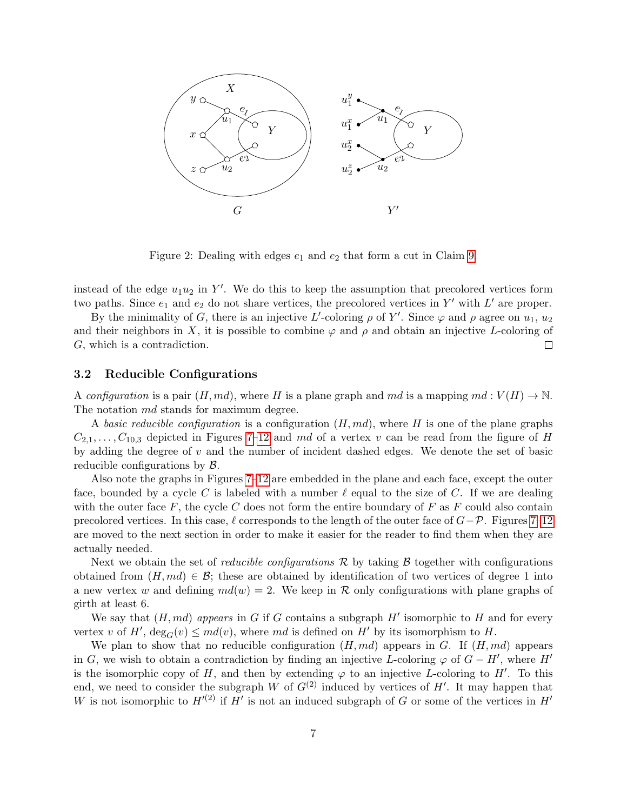

<span id="page-6-0"></span>Figure 2: Dealing with edges  $e_1$  and  $e_2$  that form a cut in Claim [9.](#page-5-2)

instead of the edge  $u_1u_2$  in Y'. We do this to keep the assumption that precolored vertices form two paths. Since  $e_1$  and  $e_2$  do not share vertices, the precolored vertices in Y' with L' are proper.

By the minimality of G, there is an injective L'-coloring  $\rho$  of Y'. Since  $\varphi$  and  $\rho$  agree on  $u_1, u_2$ and their neighbors in X, it is possible to combine  $\varphi$  and  $\rho$  and obtain an injective L-coloring of G, which is a contradiction.  $\Box$ 

#### <span id="page-6-1"></span>3.2 Reducible Configurations

A configuration is a pair  $(H, md)$ , where H is a plane graph and md is a mapping  $md: V(H) \to \mathbb{N}$ . The notation  $md$  stands for maximum degree.

A basic reducible configuration is a configuration  $(H, md)$ , where H is one of the plane graphs  $C_{2,1}, \ldots, C_{10,3}$  depicted in Figures [7–](#page-10-0)[12](#page-15-0) and md of a vertex v can be read from the figure of H by adding the degree of v and the number of incident dashed edges. We denote the set of basic reducible configurations by B.

Also note the graphs in Figures [7](#page-10-0)[–12](#page-15-0) are embedded in the plane and each face, except the outer face, bounded by a cycle C is labeled with a number  $\ell$  equal to the size of C. If we are dealing with the outer face  $F$ , the cycle C does not form the entire boundary of  $F$  as  $F$  could also contain precolored vertices. In this case,  $\ell$  corresponds to the length of the outer face of  $G-\mathcal{P}$ . Figures [7–](#page-10-0)[12](#page-15-0) are moved to the next section in order to make it easier for the reader to find them when they are actually needed.

Next we obtain the set of *reducible configurations*  $\mathcal{R}$  by taking  $\mathcal{B}$  together with configurations obtained from  $(H, md) \in \mathcal{B}$ ; these are obtained by identification of two vertices of degree 1 into a new vertex w and defining  $md(w) = 2$ . We keep in R only configurations with plane graphs of girth at least 6.

We say that  $(H, md)$  appears in G if G contains a subgraph  $H'$  isomorphic to H and for every vertex v of H',  $deg_G(v) \leq md(v)$ , where md is defined on H' by its isomorphism to H.

We plan to show that no reducible configuration  $(H, md)$  appears in G. If  $(H, md)$  appears in G, we wish to obtain a contradiction by finding an injective L-coloring  $\varphi$  of  $G - H'$ , where  $H'$ is the isomorphic copy of H, and then by extending  $\varphi$  to an injective L-coloring to H'. To this end, we need to consider the subgraph W of  $G^{(2)}$  induced by vertices of H'. It may happen that W is not isomorphic to  $H^{(2)}$  if  $H'$  is not an induced subgraph of G or some of the vertices in  $H'$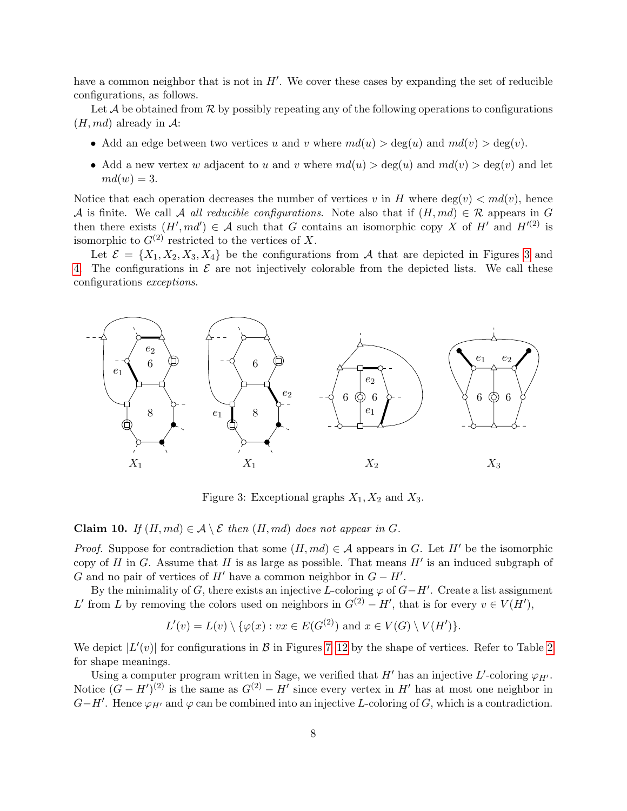have a common neighbor that is not in  $H'$ . We cover these cases by expanding the set of reducible configurations, as follows.

Let  $\mathcal A$  be obtained from  $\mathcal R$  by possibly repeating any of the following operations to configurations  $(H, md)$  already in A:

- Add an edge between two vertices u and v where  $md(u) > deg(u)$  and  $md(v) > deg(v)$ .
- Add a new vertex w adjacent to u and v where  $md(u) > deg(u)$  and  $md(v) > deg(v)$  and let  $md(w) = 3.$

Notice that each operation decreases the number of vertices v in H where  $deg(v) < md(v)$ , hence A is finite. We call A all reducible configurations. Note also that if  $(H, md) \in \mathcal{R}$  appears in G then there exists  $(H', md') \in \mathcal{A}$  such that G contains an isomorphic copy X of H' and  $H'(2)$  is isomorphic to  $G^{(2)}$  restricted to the vertices of X.

Let  $\mathcal{E} = \{X_1, X_2, X_3, X_4\}$  be the configurations from A that are depicted in Figures [3](#page-7-0) and [4.](#page-8-0) The configurations in  $\mathcal E$  are not injectively colorable from the depicted lists. We call these configurations exceptions.



<span id="page-7-0"></span>Figure 3: Exceptional graphs  $X_1, X_2$  and  $X_3$ .

<span id="page-7-1"></span>**Claim 10.** If  $(H, md) \in \mathcal{A} \setminus \mathcal{E}$  then  $(H, md)$  does not appear in G.

*Proof.* Suppose for contradiction that some  $(H, md) \in \mathcal{A}$  appears in G. Let H' be the isomorphic copy of H in G. Assume that H is as large as possible. That means  $H'$  is an induced subgraph of G and no pair of vertices of  $H'$  have a common neighbor in  $G - H'$ .

By the minimality of G, there exists an injective L-coloring  $\varphi$  of  $G-H'$ . Create a list assignment L' from L by removing the colors used on neighbors in  $G^{(2)} - H'$ , that is for every  $v \in V(H')$ ,

$$
L'(v) = L(v) \setminus \{ \varphi(x) : vx \in E(G^{(2)}) \text{ and } x \in V(G) \setminus V(H') \}.
$$

We depict  $|L'(v)|$  for configurations in  $\mathcal{B}$  in Figures [7](#page-10-0)-12 by the shape of vertices. Refer to Table [2](#page-4-1) for shape meanings.

Using a computer program written in Sage, we verified that  $H'$  has an injective L'-coloring  $\varphi_{H'}$ . Notice  $(G - H')^{(2)}$  is the same as  $G^{(2)} - H'$  since every vertex in H' has at most one neighbor in  $G-H'$ . Hence  $\varphi_{H'}$  and  $\varphi$  can be combined into an injective L-coloring of G, which is a contradiction.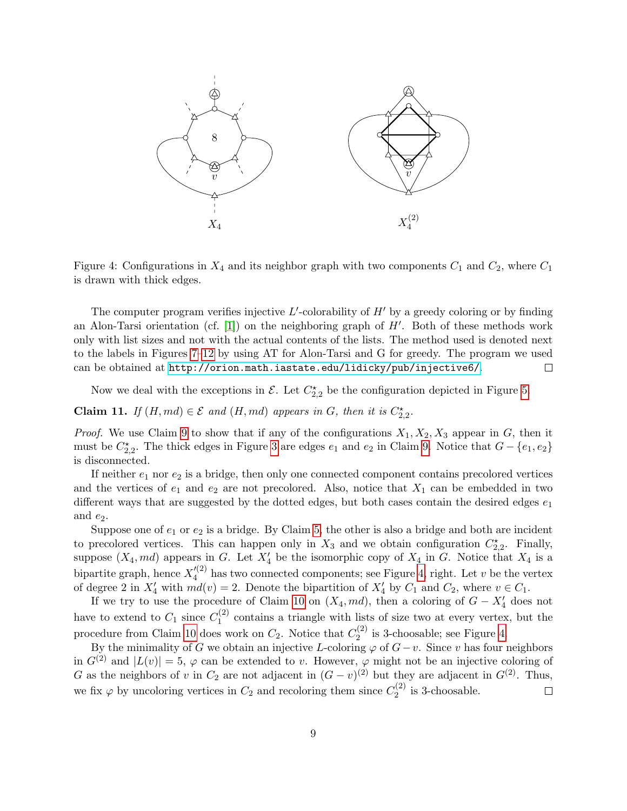

<span id="page-8-0"></span>Figure 4: Configurations in  $X_4$  and its neighbor graph with two components  $C_1$  and  $C_2$ , where  $C_1$ is drawn with thick edges.

The computer program verifies injective  $L'$ -colorability of  $H'$  by a greedy coloring or by finding an Alon-Tarsi orientation (cf.  $[1]$ ) on the neighboring graph of  $H'$ . Both of these methods work only with list sizes and not with the actual contents of the lists. The method used is denoted next to the labels in Figures [7–](#page-10-0)[12](#page-15-0) by using AT for Alon-Tarsi and G for greedy. The program we used can be obtained at <http://orion.math.iastate.edu/lidicky/pub/injective6/>.  $\Box$ 

Now we deal with the exceptions in  $\mathcal{E}$ . Let  $C_{2,2}^{\star}$  be the configuration depicted in Figure [5.](#page-9-0)

<span id="page-8-1"></span>**Claim 11.** If  $(H, md) \in \mathcal{E}$  and  $(H, md)$  appears in G, then it is  $C_{2,2}^{\star}$ .

*Proof.* We use Claim [9](#page-5-2) to show that if any of the configurations  $X_1, X_2, X_3$  appear in G, then it must be  $C_{2,2}^{\star}$ . The thick edges in Figure [3](#page-7-0) are edges  $e_1$  and  $e_2$  in Claim [9.](#page-5-2) Notice that  $G - \{e_1, e_2\}$ is disconnected.

If neither  $e_1$  nor  $e_2$  is a bridge, then only one connected component contains precolored vertices and the vertices of  $e_1$  and  $e_2$  are not precolored. Also, notice that  $X_1$  can be embedded in two different ways that are suggested by the dotted edges, but both cases contain the desired edges  $e_1$ and  $e_2$ .

Suppose one of  $e_1$  or  $e_2$  is a bridge. By Claim [5,](#page-4-2) the other is also a bridge and both are incident to precolored vertices. This can happen only in  $X_3$  and we obtain configuration  $C_{2,2}^{\star}$ . Finally, suppose  $(X_4, md)$  appears in G. Let  $X'_4$  be the isomorphic copy of  $X_4$  in G. Notice that  $X_4$  is a bipartite graph, hence  $X_4^{\prime(2)}$  $\frac{d^{(2)}}{4}$  has two connected components; see Figure [4,](#page-8-0) right. Let v be the vertex of degree 2 in  $X'_4$  with  $md(v) = 2$ . Denote the bipartition of  $X'_4$  by  $C_1$  and  $C_2$ , where  $v \in C_1$ .

If we try to use the procedure of Claim [10](#page-7-1) on  $(X_4, md)$ , then a coloring of  $G - X'_4$  does not have to extend to  $C_1$  since  $C_1^{(2)}$  $\frac{1}{1}$  contains a triangle with lists of size two at every vertex, but the procedure from Claim [10](#page-7-1) does work on  $C_2$ . Notice that  $C_2^{(2)}$  $2^{(2)}$  is 3-choosable; see Figure [4.](#page-8-0)

By the minimality of G we obtain an injective L-coloring  $\varphi$  of  $G-v$ . Since v has four neighbors in  $G^{(2)}$  and  $|L(v)| = 5$ ,  $\varphi$  can be extended to v. However,  $\varphi$  might not be an injective coloring of G as the neighbors of v in  $C_2$  are not adjacent in  $(G - v)^{(2)}$  but they are adjacent in  $G^{(2)}$ . Thus, we fix  $\varphi$  by uncoloring vertices in  $C_2$  and recoloring them since  $C_2^{(2)}$  $2^{(2)}$  is 3-choosable.  $\Box$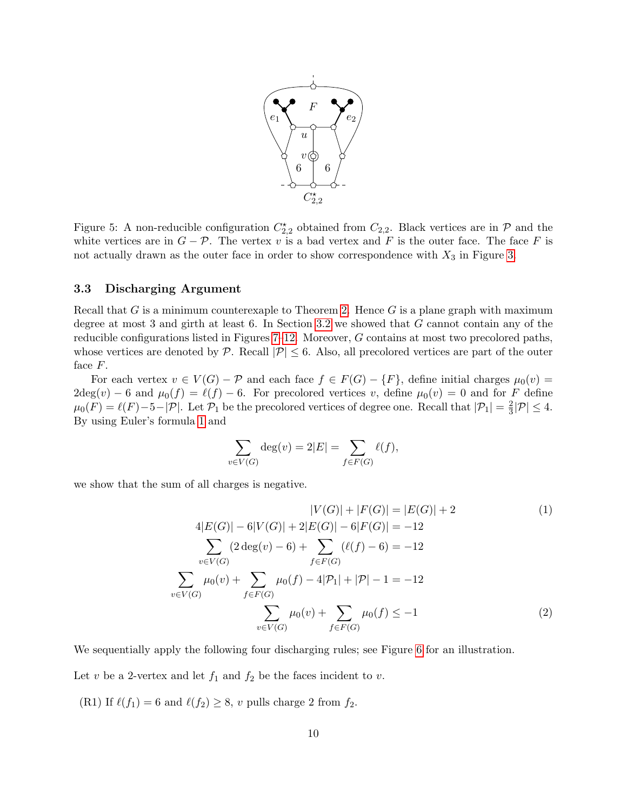

<span id="page-9-0"></span>Figure 5: A non-reducible configuration  $C_{2,2}^{\star}$  obtained from  $C_{2,2}$ . Black vertices are in  $\mathcal{P}$  and the white vertices are in  $G - \mathcal{P}$ . The vertex v is a bad vertex and F is the outer face. The face F is not actually drawn as the outer face in order to show correspondence with  $X_3$  in Figure [3.](#page-7-0)

#### 3.3 Discharging Argument

Recall that G is a minimum counterexaple to Theorem [2.](#page-1-1) Hence G is a plane graph with maximum degree at most 3 and girth at least 6. In Section [3.2](#page-6-1) we showed that G cannot contain any of the reducible configurations listed in Figures [7–](#page-10-0)[12.](#page-15-0) Moreover, G contains at most two precolored paths, whose vertices are denoted by P. Recall  $|\mathcal{P}| \leq 6$ . Also, all precolored vertices are part of the outer face F.

For each vertex  $v \in V(G) - \mathcal{P}$  and each face  $f \in F(G) - \{F\}$ , define initial charges  $\mu_0(v) =$  $2\text{deg}(v) - 6$  and  $\mu_0(f) = \ell(f) - 6$ . For precolored vertices v, define  $\mu_0(v) = 0$  and for F define  $\mu_0(F) = \ell(F) - 5 - |\mathcal{P}|$ . Let  $\mathcal{P}_1$  be the precolored vertices of degree one. Recall that  $|\mathcal{P}_1| = \frac{2}{3}$  $\frac{2}{3}|\mathcal{P}| \leq 4.$ By using Euler's formula [1](#page-9-1) and

<span id="page-9-2"></span><span id="page-9-1"></span>
$$
\sum_{v \in V(G)} \deg(v) = 2|E| = \sum_{f \in F(G)} \ell(f),
$$

we show that the sum of all charges is negative.

$$
|V(G)| + |F(G)| = |E(G)| + 2
$$
\n
$$
4|E(G)| - 6|V(G)| + 2|E(G)| - 6|F(G)| = -12
$$
\n
$$
\sum_{v \in V(G)} (2 \deg(v) - 6) + \sum_{f \in F(G)} (\ell(f) - 6) = -12
$$
\n
$$
\sum_{v \in V(G)} \mu_0(v) + \sum_{f \in F(G)} \mu_0(f) - 4|P_1| + |P| - 1 = -12
$$
\n
$$
\sum_{v \in V(G)} \mu_0(v) + \sum_{f \in F(G)} \mu_0(f) \le -1
$$
\n(2)

We sequentially apply the following four discharging rules; see Figure [6](#page-10-1) for an illustration.

Let v be a 2-vertex and let  $f_1$  and  $f_2$  be the faces incident to v.

(R1) If  $\ell(f_1) = 6$  and  $\ell(f_2) \ge 8$ , v pulls charge 2 from  $f_2$ .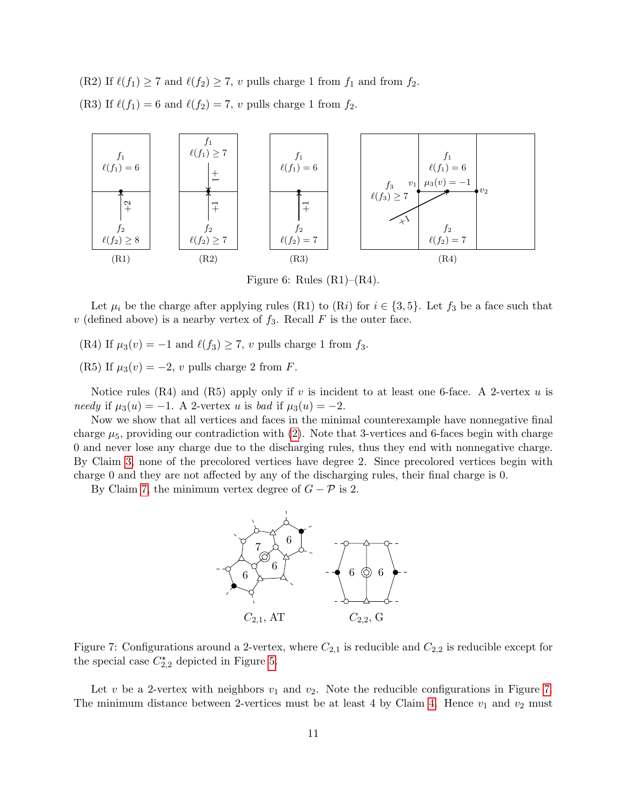(R2) If  $\ell(f_1) \ge 7$  and  $\ell(f_2) \ge 7$ , v pulls charge 1 from  $f_1$  and from  $f_2$ . (R3) If  $\ell(f_1) = 6$  and  $\ell(f_2) = 7$ , v pulls charge 1 from  $f_2$ .



<span id="page-10-1"></span>Figure 6: Rules  $(R1)$ – $(R4)$ .

Let  $\mu_i$  be the charge after applying rules (R1) to (Ri) for  $i \in \{3, 5\}$ . Let  $f_3$  be a face such that v (defined above) is a nearby vertex of  $f_3$ . Recall F is the outer face.

(R4) If  $\mu_3(v) = -1$  and  $\ell(f_3) \ge 7$ , v pulls charge 1 from  $f_3$ .

(R5) If  $\mu_3(v) = -2$ , v pulls charge 2 from F.

Notice rules (R4) and (R5) apply only if v is incident to at least one 6-face. A 2-vertex u is needy if  $\mu_3(u) = -1$ . A 2-vertex u is bad if  $\mu_3(u) = -2$ .

Now we show that all vertices and faces in the minimal counterexample have nonnegative final charge  $\mu_5$ , providing our contradiction with [\(2\)](#page-9-2). Note that 3-vertices and 6-faces begin with charge 0 and never lose any charge due to the discharging rules, thus they end with nonnegative charge. By Claim [3,](#page-3-1) none of the precolored vertices have degree 2. Since precolored vertices begin with charge 0 and they are not affected by any of the discharging rules, their final charge is 0.

By Claim [7,](#page-5-1) the minimum vertex degree of  $G - P$  is 2.



<span id="page-10-0"></span>Figure 7: Configurations around a 2-vertex, where  $C_{2,1}$  is reducible and  $C_{2,2}$  is reducible except for the special case  $C_{2,2}^{\star}$  depicted in Figure [5.](#page-9-0)

Let v be a 2-vertex with neighbors  $v_1$  and  $v_2$ . Note the reducible configurations in Figure [7.](#page-10-0) The minimum distance between 2-vertices must be at least 4 by Claim [4.](#page-3-0) Hence  $v_1$  and  $v_2$  must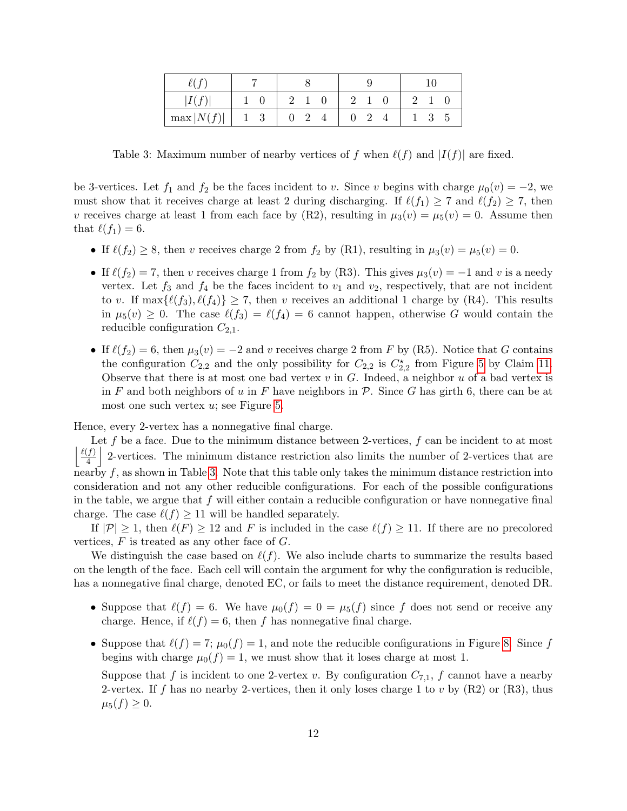| r.            |            |  |  |  |
|---------------|------------|--|--|--|
| I             |            |  |  |  |
| $\max  N(f) $ | $1\quad 3$ |  |  |  |

<span id="page-11-0"></span>Table 3: Maximum number of nearby vertices of f when  $\ell(f)$  and  $|I(f)|$  are fixed.

be 3-vertices. Let  $f_1$  and  $f_2$  be the faces incident to v. Since v begins with charge  $\mu_0(v) = -2$ , we must show that it receives charge at least 2 during discharging. If  $\ell(f_1) \geq 7$  and  $\ell(f_2) \geq 7$ , then v receives charge at least 1 from each face by (R2), resulting in  $\mu_3(v) = \mu_5(v) = 0$ . Assume then that  $\ell(f_1) = 6$ .

- If  $\ell(f_2) \ge 8$ , then v receives charge 2 from  $f_2$  by (R1), resulting in  $\mu_3(v) = \mu_5(v) = 0$ .
- If  $\ell(f_2) = 7$ , then v receives charge 1 from  $f_2$  by (R3). This gives  $\mu_3(v) = -1$  and v is a needy vertex. Let  $f_3$  and  $f_4$  be the faces incident to  $v_1$  and  $v_2$ , respectively, that are not incident to v. If  $\max\{\ell(f_3), \ell(f_4)\} \geq 7$ , then v receives an additional 1 charge by (R4). This results in  $\mu_5(v) \geq 0$ . The case  $\ell(f_3) = \ell(f_4) = 6$  cannot happen, otherwise G would contain the reducible configuration  $C_{2,1}$ .
- If  $\ell(f_2) = 6$ , then  $\mu_3(v) = -2$  and v receives charge 2 from F by (R5). Notice that G contains the configuration  $C_{2,2}$  and the only possibility for  $C_{2,2}$  is  $C_{2,2}^{\star}$  from Figure [5](#page-9-0) by Claim [11.](#page-8-1) Observe that there is at most one bad vertex  $v$  in  $G$ . Indeed, a neighbor  $u$  of a bad vertex is in F and both neighbors of u in F have neighbors in P. Since G has girth 6, there can be at most one such vertex  $u$ ; see Figure [5.](#page-9-0)

Hence, every 2-vertex has a nonnegative final charge.

Let f be a face. Due to the minimum distance between 2-vertices, f can be incident to at most  $\ell(f)$  $\frac{f(f)}{4}$  2-vertices. The minimum distance restriction also limits the number of 2-vertices that are nearby  $f$ , as shown in Table [3.](#page-11-0) Note that this table only takes the minimum distance restriction into consideration and not any other reducible configurations. For each of the possible configurations in the table, we argue that  $f$  will either contain a reducible configuration or have nonnegative final charge. The case  $\ell(f) \geq 11$  will be handled separately.

If  $|\mathcal{P}| \geq 1$ , then  $\ell(F) \geq 12$  and F is included in the case  $\ell(f) \geq 11$ . If there are no precolored vertices,  $F$  is treated as any other face of  $G$ .

We distinguish the case based on  $\ell(f)$ . We also include charts to summarize the results based on the length of the face. Each cell will contain the argument for why the configuration is reducible, has a nonnegative final charge, denoted EC, or fails to meet the distance requirement, denoted DR.

- Suppose that  $\ell(f) = 6$ . We have  $\mu_0(f) = 0 = \mu_5(f)$  since f does not send or receive any charge. Hence, if  $\ell(f) = 6$ , then f has nonnegative final charge.
- Suppose that  $\ell(f) = 7$ ;  $\mu_0(f) = 1$ , and note the reducible configurations in Figure [8.](#page-12-0) Since f begins with charge  $\mu_0(f) = 1$ , we must show that it loses charge at most 1.

Suppose that f is incident to one 2-vertex v. By configuration  $C_{7,1}$ , f cannot have a nearby 2-vertex. If f has no nearby 2-vertices, then it only loses charge 1 to v by  $(R2)$  or  $(R3)$ , thus  $\mu_5(f) \geq 0.$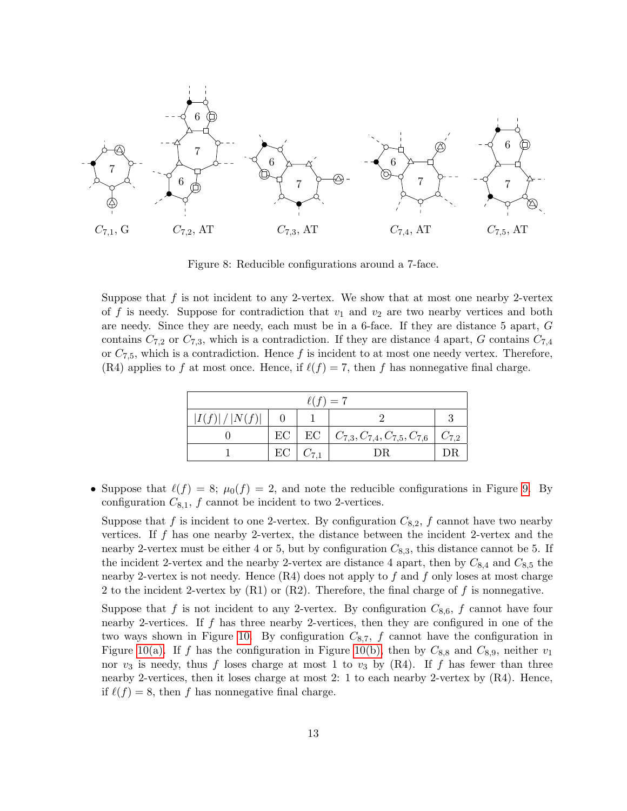

<span id="page-12-0"></span>Figure 8: Reducible configurations around a 7-face.

Suppose that  $f$  is not incident to any 2-vertex. We show that at most one nearby 2-vertex of f is needy. Suppose for contradiction that  $v_1$  and  $v_2$  are two nearby vertices and both are needy. Since they are needy, each must be in a 6-face. If they are distance 5 apart, G contains  $C_{7,2}$  or  $C_{7,3}$ , which is a contradiction. If they are distance 4 apart, G contains  $C_{7,4}$ or  $C_{7,5}$ , which is a contradiction. Hence f is incident to at most one needy vertex. Therefore, (R4) applies to f at most once. Hence, if  $\ell(f) = 7$ , then f has nonnegative final charge.

| $\ell(f)=7$ |    |  |                                                                  |             |  |  |  |
|-------------|----|--|------------------------------------------------------------------|-------------|--|--|--|
| I(f) / N(f) |    |  |                                                                  |             |  |  |  |
|             |    |  | $\text{EC}$   $\text{EC}$   $C_{7,3}, C_{7,4}, C_{7,5}, C_{7,6}$ | $ C_{7,2} $ |  |  |  |
|             | EC |  | DR                                                               |             |  |  |  |

• Suppose that  $\ell(f) = 8$ ;  $\mu_0(f) = 2$ , and note the reducible configurations in Figure [9.](#page-13-0) By configuration  $C_{8,1}$ ,  $f$  cannot be incident to two 2-vertices.

Suppose that f is incident to one 2-vertex. By configuration  $C_{8,2}$ , f cannot have two nearby vertices. If  $f$  has one nearby 2-vertex, the distance between the incident 2-vertex and the nearby 2-vertex must be either 4 or 5, but by configuration  $C_{8,3}$ , this distance cannot be 5. If the incident 2-vertex and the nearby 2-vertex are distance 4 apart, then by  $C_{8,4}$  and  $C_{8,5}$  the nearby 2-vertex is not needy. Hence  $(R4)$  does not apply to f and f only loses at most charge 2 to the incident 2-vertex by  $(R1)$  or  $(R2)$ . Therefore, the final charge of f is nonnegative.

Suppose that f is not incident to any 2-vertex. By configuration  $C_{8,6}$ , f cannot have four nearby 2-vertices. If f has three nearby 2-vertices, then they are configured in one of the two ways shown in Figure [10.](#page-13-1) By configuration  $C_{8,7}$ , f cannot have the configuration in Figure [10\(a\).](#page-13-2) If f has the configuration in Figure [10\(b\),](#page-13-3) then by  $C_{8,8}$  and  $C_{8,9}$ , neither  $v_1$ nor  $v_3$  is needy, thus f loses charge at most 1 to  $v_3$  by (R4). If f has fewer than three nearby 2-vertices, then it loses charge at most 2: 1 to each nearby 2-vertex by (R4). Hence, if  $\ell(f) = 8$ , then f has nonnegative final charge.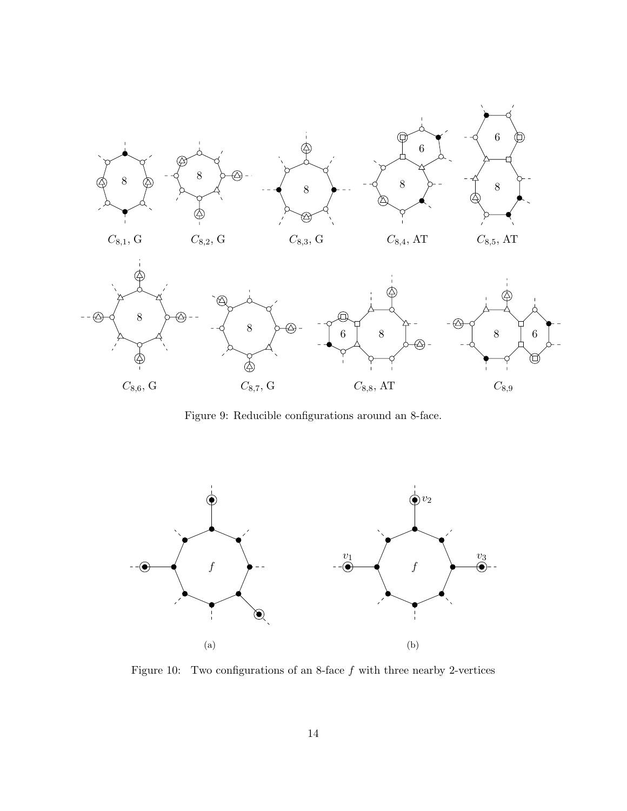

<span id="page-13-0"></span>Figure 9: Reducible configurations around an 8-face.

<span id="page-13-2"></span>

<span id="page-13-3"></span><span id="page-13-1"></span>Figure 10: Two configurations of an 8-face  $f$  with three nearby 2-vertices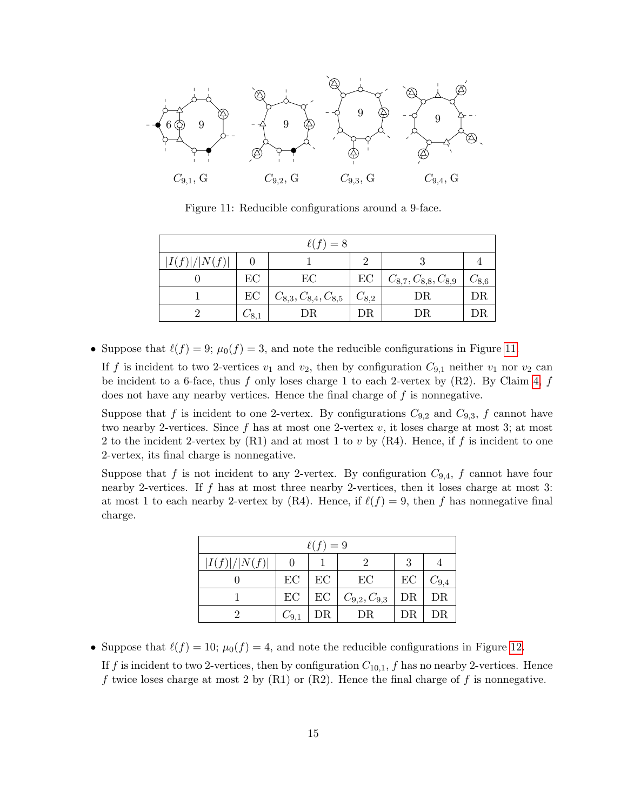

<span id="page-14-0"></span>Figure 11: Reducible configurations around a 9-face.

| $\ell(f)=8$ |        |                             |           |                             |           |  |  |  |
|-------------|--------|-----------------------------|-----------|-----------------------------|-----------|--|--|--|
| I(f) / N(f) |        |                             | 9         |                             |           |  |  |  |
|             | EC     | EС                          | EC        | $C_{8,7}, C_{8,8}, C_{8,9}$ | $C_{8,6}$ |  |  |  |
|             | EC     | $C_{8,3}, C_{8,4}, C_{8,5}$ | $C_{8,2}$ | DR                          | DR        |  |  |  |
|             | $-8.1$ | DR                          | DR.       | DR                          |           |  |  |  |

• Suppose that  $\ell(f) = 9$ ;  $\mu_0(f) = 3$ , and note the reducible configurations in Figure [11.](#page-14-0)

If f is incident to two 2-vertices  $v_1$  and  $v_2$ , then by configuration  $C_{9,1}$  neither  $v_1$  nor  $v_2$  can be incident to a 6-face, thus f only loses charge 1 to each 2-vertex by  $(R2)$ . By Claim [4,](#page-3-0) f does not have any nearby vertices. Hence the final charge of  $f$  is nonnegative.

Suppose that f is incident to one 2-vertex. By configurations  $C_{9,2}$  and  $C_{9,3}$ , f cannot have two nearby 2-vertices. Since  $f$  has at most one 2-vertex  $v$ , it loses charge at most 3; at most 2 to the incident 2-vertex by  $(R1)$  and at most 1 to v by  $(R4)$ . Hence, if f is incident to one 2-vertex, its final charge is nonnegative.

Suppose that f is not incident to any 2-vertex. By configuration  $C_{9,4}$ , f cannot have four nearby 2-vertices. If f has at most three nearby 2-vertices, then it loses charge at most 3: at most 1 to each nearby 2-vertex by (R4). Hence, if  $\ell(f) = 9$ , then f has nonnegative final charge.

| $\ell(f)=9$       |           |    |                    |    |           |  |  |  |
|-------------------|-----------|----|--------------------|----|-----------|--|--|--|
| I(f) / N(f) <br>3 |           |    |                    |    |           |  |  |  |
|                   | EC        | EC | EC                 | EC | $C_{9,4}$ |  |  |  |
|                   | EC        | EC | $C_{9,2}, C_{9,3}$ | DR | DR        |  |  |  |
|                   | $C_{9,1}$ | DR | DR                 | DR | DR        |  |  |  |

• Suppose that  $\ell(f) = 10$ ;  $\mu_0(f) = 4$ , and note the reducible configurations in Figure [12.](#page-15-0) If f is incident to two 2-vertices, then by configuration  $C_{10,1}$ , f has no nearby 2-vertices. Hence f twice loses charge at most 2 by  $(R1)$  or  $(R2)$ . Hence the final charge of f is nonnegative.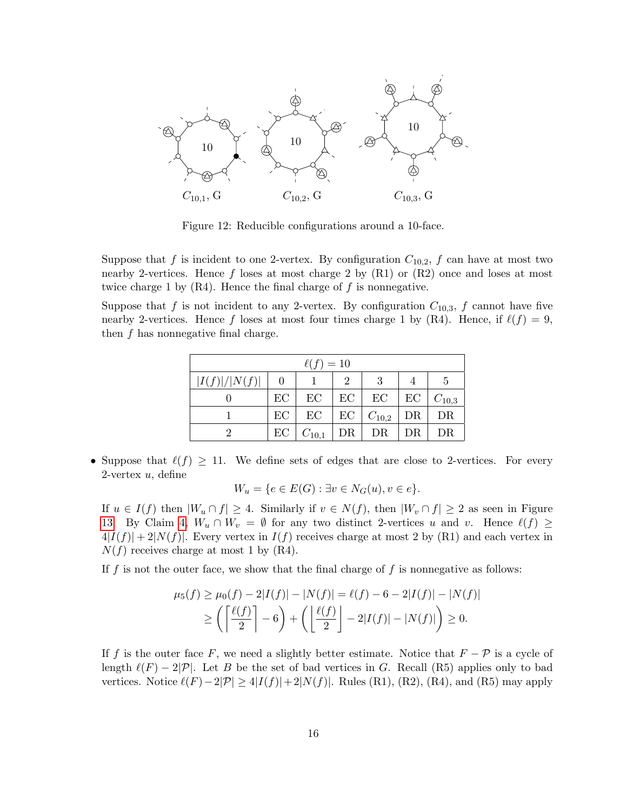

<span id="page-15-0"></span>Figure 12: Reducible configurations around a 10-face.

Suppose that f is incident to one 2-vertex. By configuration  $C_{10,2}$ , f can have at most two nearby 2-vertices. Hence f loses at most charge 2 by  $(R1)$  or  $(R2)$  once and loses at most twice charge 1 by  $(R4)$ . Hence the final charge of f is nonnegative.

Suppose that f is not incident to any 2-vertex. By configuration  $C_{10,3}$ , f cannot have five nearby 2-vertices. Hence f loses at most four times charge 1 by (R4). Hence, if  $\ell(f) = 9$ , then f has nonnegative final charge.

| $\ell(f)=10$                |    |            |    |            |    |            |  |  |
|-----------------------------|----|------------|----|------------|----|------------|--|--|
| I(f) / N(f) <br>2<br>3<br>5 |    |            |    |            |    |            |  |  |
|                             | EC | EC         | EC | EC         | EC | $C_{10,3}$ |  |  |
|                             | EC | EC         | EC | $C_{10,2}$ | DR | DR         |  |  |
| 2                           | EC | $C_{10,1}$ | DR | DR         | DR | DR         |  |  |

• Suppose that  $\ell(f) \geq 11$ . We define sets of edges that are close to 2-vertices. For every 2-vertex  $u$ , define

$$
W_u = \{ e \in E(G) : \exists v \in N_G(u), v \in e \}.
$$

If  $u \in I(f)$  then  $|W_u \cap f| \geq 4$ . Similarly if  $v \in N(f)$ , then  $|W_v \cap f| \geq 2$  as seen in Figure [13.](#page-16-0) By Claim [4,](#page-3-0)  $W_u \cap W_v = \emptyset$  for any two distinct 2-vertices u and v. Hence  $\ell(f) \geq$  $4|I(f)| + 2|N(f)|$ . Every vertex in  $I(f)$  receives charge at most 2 by (R1) and each vertex in  $N(f)$  receives charge at most 1 by (R4).

If  $f$  is not the outer face, we show that the final charge of  $f$  is nonnegative as follows:

$$
\mu_5(f) \ge \mu_0(f) - 2|I(f)| - |N(f)| = \ell(f) - 6 - 2|I(f)| - |N(f)|
$$
  
\n
$$
\ge \left( \left\lceil \frac{\ell(f)}{2} \right\rceil - 6 \right) + \left( \left\lfloor \frac{\ell(f)}{2} \right\rfloor - 2|I(f)| - |N(f)| \right) \ge 0.
$$

If f is the outer face F, we need a slightly better estimate. Notice that  $F - \mathcal{P}$  is a cycle of length  $\ell(F) - 2|\mathcal{P}|$ . Let B be the set of bad vertices in G. Recall (R5) applies only to bad vertices. Notice  $\ell(F)-2|\mathcal{P}| \geq 4|I(f)|+2|N(f)|$ . Rules (R1), (R2), (R4), and (R5) may apply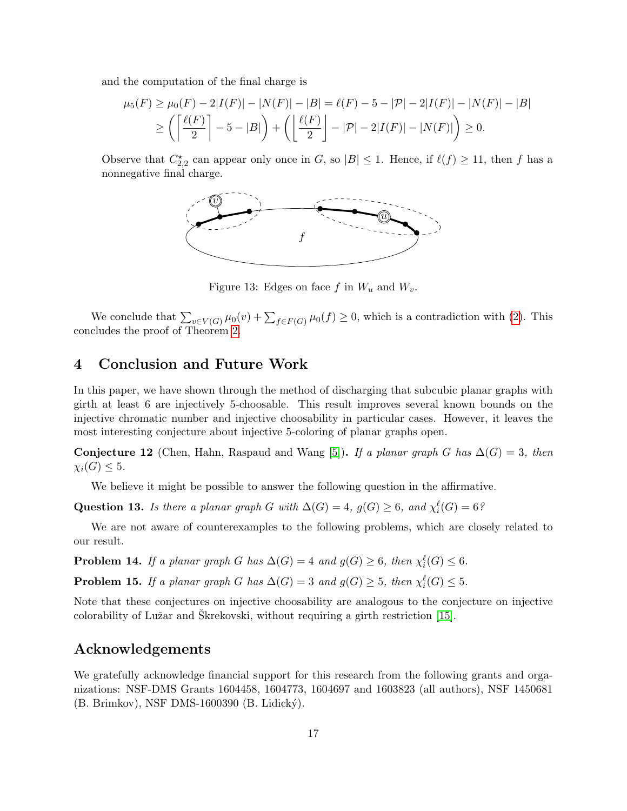and the computation of the final charge is

$$
\mu_5(F) \ge \mu_0(F) - 2|I(F)| - |N(F)| - |B| = \ell(F) - 5 - |\mathcal{P}| - 2|I(F)| - |N(F)| - |B|
$$
  
\n
$$
\ge \left( \left\lceil \frac{\ell(F)}{2} \right\rceil - 5 - |B| \right) + \left( \left\lfloor \frac{\ell(F)}{2} \right\rfloor - |\mathcal{P}| - 2|I(F)| - |N(F)| \right) \ge 0.
$$

Observe that  $C_{2,2}^{\star}$  can appear only once in G, so  $|B| \leq 1$ . Hence, if  $\ell(f) \geq 11$ , then f has a nonnegative final charge.



<span id="page-16-0"></span>Figure 13: Edges on face f in  $W_u$  and  $W_v$ .

We conclude that  $\sum_{v \in V(G)} \mu_0(v) + \sum_{f \in F(G)} \mu_0(f) \ge 0$ , which is a contradiction with [\(2\)](#page-9-2). This concludes the proof of Theorem [2.](#page-1-1)

## 4 Conclusion and Future Work

In this paper, we have shown through the method of discharging that subcubic planar graphs with girth at least 6 are injectively 5-choosable. This result improves several known bounds on the injective chromatic number and injective choosability in particular cases. However, it leaves the most interesting conjecture about injective 5-coloring of planar graphs open.

Conjecture 12 (Chen, Hahn, Raspaud and Wang [\[5\]](#page-17-3)). If a planar graph G has  $\Delta(G) = 3$ , then  $\chi_i(G) \leq 5.$ 

We believe it might be possible to answer the following question in the affirmative.

Question 13. Is there a planar graph G with  $\Delta(G) = 4$ ,  $g(G) \geq 6$ , and  $\chi_i^{\ell}(G) = 6$ ?

We are not aware of counterexamples to the following problems, which are closely related to our result.

**Problem 14.** If a planar graph G has  $\Delta(G) = 4$  and  $g(G) \ge 6$ , then  $\chi_i^{\ell}(G) \le 6$ .

**Problem 15.** If a planar graph G has  $\Delta(G) = 3$  and  $g(G) \ge 5$ , then  $\chi_i^{\ell}(G) \le 5$ .

Note that these conjectures on injective choosability are analogous to the conjecture on injective colorability of Lužar and Skrekovski, without requiring a girth restriction [\[15\]](#page-17-15).

# Acknowledgements

We gratefully acknowledge financial support for this research from the following grants and organizations: NSF-DMS Grants 1604458, 1604773, 1604697 and 1603823 (all authors), NSF 1450681 (B. Brimkov), NSF DMS-1600390 (B. Lidický).